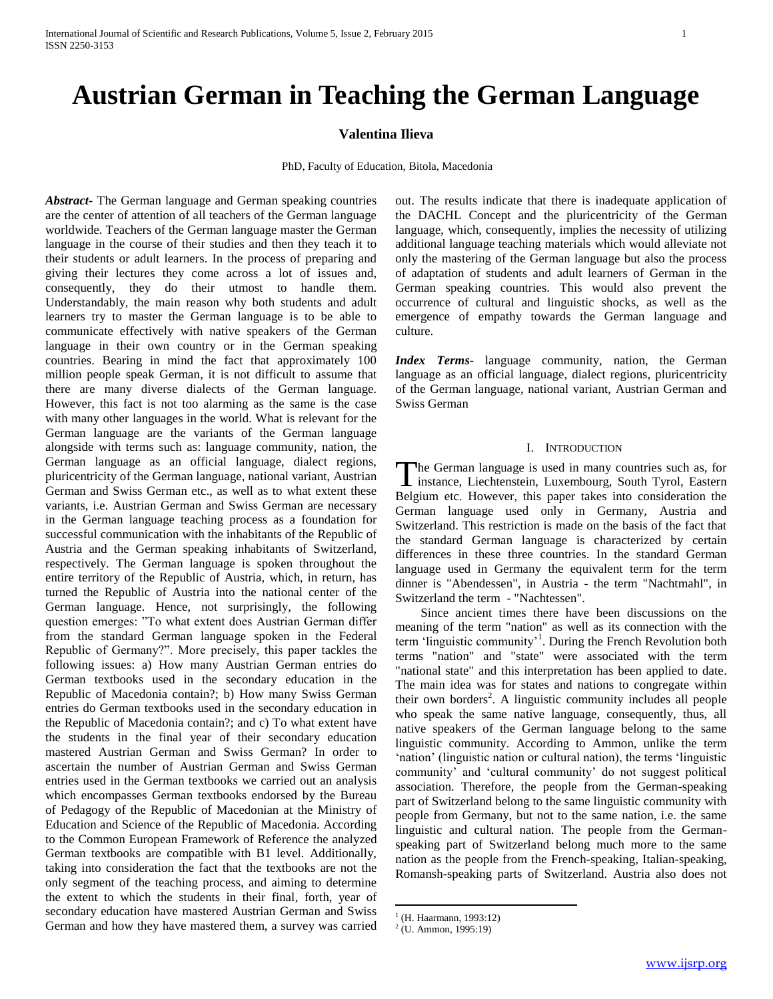# **Austrian German in Teaching the German Language**

# **Valentina Ilieva**

PhD, Faculty of Education, Bitola, Macedonia

*Abstract***-** The German language and German speaking countries are the center of attention of all teachers of the German language worldwide. Teachers of the German language master the German language in the course of their studies and then they teach it to their students or adult learners. In the process of preparing and giving their lectures they come across a lot of issues and, consequently, they do their utmost to handle them. Understandably, the main reason why both students and adult learners try to master the German language is to be able to communicate effectively with native speakers of the German language in their own country or in the German speaking countries. Bearing in mind the fact that approximately 100 million people speak German, it is not difficult to assume that there are many diverse dialects of the German language. However, this fact is not too alarming as the same is the case with many other languages in the world. What is relevant for the German language are the variants of the German language alongside with terms such as: language community, nation, the German language as an official language, dialect regions, pluricentricity of the German language, national variant, Austrian German and Swiss German etc., as well as to what extent these variants, i.e. Austrian German and Swiss German are necessary in the German language teaching process as a foundation for successful communication with the inhabitants of the Republic of Austria and the German speaking inhabitants of Switzerland, respectively. The German language is spoken throughout the entire territory of the Republic of Austria, which, in return, has turned the Republic of Austria into the national center of the German language. Hence, not surprisingly, the following question emerges: "To what extent does Austrian German differ from the standard German language spoken in the Federal Republic of Germany?". More precisely, this paper tackles the following issues: a) How many Austrian German entries do German textbooks used in the secondary education in the Republic of Macedonia contain?; b) How many Swiss German entries do German textbooks used in the secondary education in the Republic of Macedonia contain?; and c) To what extent have the students in the final year of their secondary education mastered Austrian German and Swiss German? In order to ascertain the number of Austrian German and Swiss German entries used in the German textbooks we carried out an analysis which encompasses German textbooks endorsed by the Bureau of Pedagogy of the Republic of Macedonian at the Ministry of Education and Science of the Republic of Macedonia. According to the Common European Framework of Reference the analyzed German textbooks are compatible with B1 level. Additionally, taking into consideration the fact that the textbooks are not the only segment of the teaching process, and aiming to determine the extent to which the students in their final, forth, year of secondary education have mastered Austrian German and Swiss German and how they have mastered them, a survey was carried out. The results indicate that there is inadequate application of the DACHL Concept and the pluricentricity of the German language, which, consequently, implies the necessity of utilizing additional language teaching materials which would alleviate not only the mastering of the German language but also the process of adaptation of students and adult learners of German in the German speaking countries. This would also prevent the occurrence of cultural and linguistic shocks, as well as the emergence of empathy towards the German language and culture.

*Index Terms*- language community, nation, the German language as an official language, dialect regions, pluricentricity of the German language, national variant, Austrian German and Swiss German

## I. INTRODUCTION

he German language is used in many countries such as, for The German language is used in many countries such as, for instance, Liechtenstein, Luxembourg, South Tyrol, Eastern Belgium etc. However, this paper takes into consideration the German language used only in Germany, Austria and Switzerland. This restriction is made on the basis of the fact that the standard German language is characterized by certain differences in these three countries. In the standard German language used in Germany the equivalent term for the term dinner is "Abendessen", in Austria - the term "Nachtmahl", in Switzerland the term - "Nachtessen".

 Since ancient times there have been discussions on the meaning of the term "nation" as well as its connection with the term 'linguistic community'<sup>1</sup>. During the French Revolution both terms "nation" and "state" were associated with the term "national state" and this interpretation has been applied to date. The main idea was for states and nations to congregate within their own borders<sup>2</sup>. A linguistic community includes all people who speak the same native language, consequently, thus, all native speakers of the German language belong to the same linguistic community. According to Ammon, unlike the term 'nation' (linguistic nation or cultural nation), the terms 'linguistic community' and 'cultural community' do not suggest political association. Therefore, the people from the German-speaking part of Switzerland belong to the same linguistic community with people from Germany, but not to the same nation, i.e. the same linguistic and cultural nation. The people from the Germanspeaking part of Switzerland belong much more to the same nation as the people from the French-speaking, Italian-speaking, Romansh-speaking parts of Switzerland. Austria also does not

 $\overline{a}$ 

<sup>&</sup>lt;sup>1</sup> (H. Haarmann, 1993:12)

 $2$  (U. Ammon, 1995:19)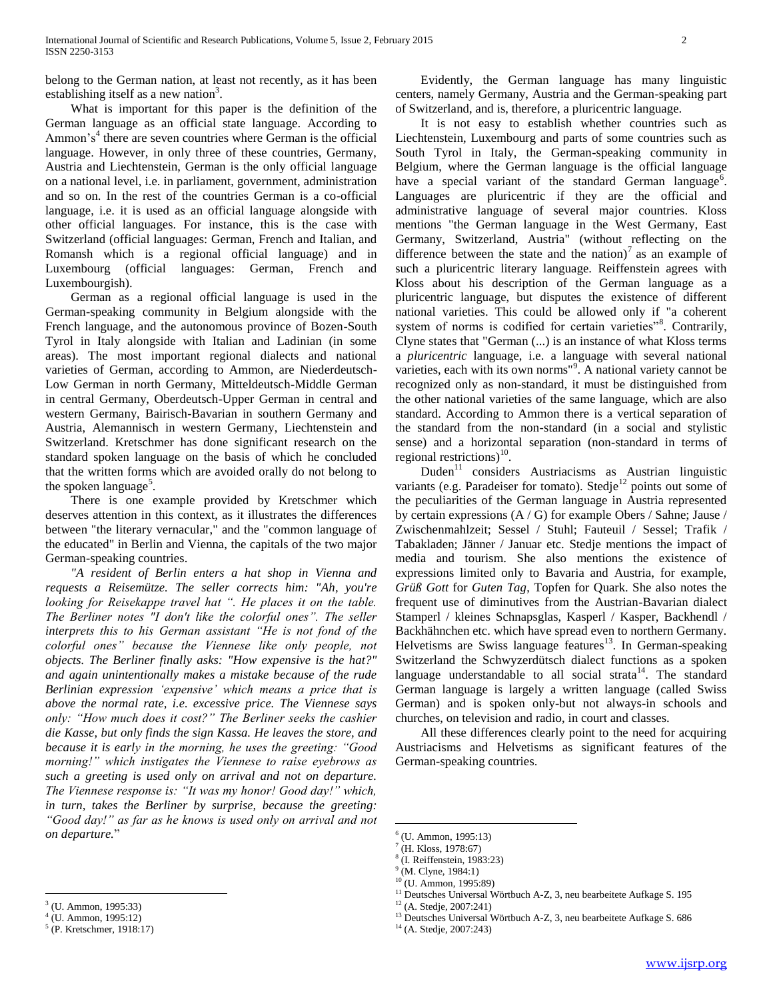belong to the German nation, at least not recently, as it has been establishing itself as a new nation<sup>3</sup>.

 What is important for this paper is the definition of the German language as an official state language. According to Ammon's<sup>4</sup> there are seven countries where German is the official language. However, in only three of these countries, Germany, Austria and Liechtenstein, German is the only official language on a national level, i.e. in parliament, government, administration and so on. In the rest of the countries German is a co-official language, i.e. it is used as an official language alongside with other official languages. For instance, this is the case with Switzerland (official languages: German, French and Italian, and Romansh which is a regional official language) and in Luxembourg (official languages: German, French and Luxembourgish).

 German as a regional official language is used in the German-speaking community in Belgium alongside with the French language, and the autonomous province of Bozen-South Tyrol in Italy alongside with Italian and Ladinian (in some areas). The most important regional dialects and national varieties of German, according to Ammon, are Niederdeutsch-Low German in north Germany, Mitteldeutsch-Middle German in central Germany, Oberdeutsch-Upper German in central and western Germany, Bairisch-Bavarian in southern Germany and Austria, Alemannisch in western Germany, Liechtenstein and Switzerland. Kretschmer has done significant research on the standard spoken language on the basis of which he concluded that the written forms which are avoided orally do not belong to the spoken language<sup>5</sup>.

 There is one example provided by Kretschmer which deserves attention in this context, as it illustrates the differences between "the literary vernacular," and the "common language of the educated" in Berlin and Vienna, the capitals of the two major German-speaking countries.

 *"A resident of Berlin enters a hat shop in Vienna and requests a Reisemütze. The seller corrects him: "Ah, you're looking for Reisekappe travel hat ". He places it on the table. The Berliner notes "I don't like the colorful ones". The seller interprets this to his German assistant "He is not fond of the colorful ones" because the Viennese like only people, not objects. The Berliner finally asks: "How expensive is the hat?" and again unintentionally makes a mistake because of the rude Berlinian expression 'expensive' which means a price that is above the normal rate, i.e. excessive price. The Viennese says only: "How much does it cost?" The Berliner seeks the cashier die Kasse, but only finds the sign Kassa. He leaves the store, and because it is early in the morning, he uses the greeting: "Good morning!" which instigates the Viennese to raise eyebrows as such a greeting is used only on arrival and not on departure. The Viennese response is: "It was my honor! Good day!" which, in turn, takes the Berliner by surprise, because the greeting: "Good day!" as far as he knows is used only on arrival and not on departure.*"

 $\overline{a}$ 

 Evidently, the German language has many linguistic centers, namely Germany, Austria and the German-speaking part of Switzerland, and is, therefore, a pluricentric language.

 It is not easy to establish whether countries such as Liechtenstein, Luxembourg and parts of some countries such as South Tyrol in Italy, the German-speaking community in Belgium, where the German language is the official language have a special variant of the standard German language<sup>6</sup>. Languages are pluricentric if they are the official and administrative language of several major countries. Kloss mentions "the German language in the West Germany, East Germany, Switzerland, Austria" (without reflecting on the difference between the state and the nation)<sup>7</sup> as an example of such a pluricentric literary language. Reiffenstein agrees with Kloss about his description of the German language as a pluricentric language, but disputes the existence of different national varieties. This could be allowed only if "a coherent system of norms is codified for certain varieties"<sup>8</sup>. Contrarily, Clyne states that "German (...) is an instance of what Kloss terms a *pluricentric* language, i.e. a language with several national varieties, each with its own norms"<sup>9</sup>. A national variety cannot be recognized only as non-standard, it must be distinguished from the other national varieties of the same language, which are also standard. According to Ammon there is a vertical separation of the standard from the non-standard (in a social and stylistic sense) and a horizontal separation (non-standard in terms of regional restrictions) $^{10}$ .

Duden $11$  considers Austriacisms as Austrian linguistic variants (e.g. Paradeiser for tomato). Stedje<sup>12</sup> points out some of the peculiarities of the German language in Austria represented by certain expressions (A / G) for example Obers / Sahne; Jause / Zwischenmahlzeit; Sessel / Stuhl; Fauteuil / Sessel; Trafik / Tabakladen; Jänner / Januar etc. Stedje mentions the impact of media and tourism. She also mentions the existence of expressions limited only to Bavaria and Austria, for example, *Grüß Gott* for *Guten Tag*, Topfen for Quark. She also notes the frequent use of diminutives from the Austrian-Bavarian dialect Stamperl / kleines Schnapsglas, Kasperl / Kasper, Backhendl / Backhähnchen etc. which have spread even to northern Germany. Helvetisms are Swiss language features<sup>13</sup>. In German-speaking Switzerland the Schwyzerdütsch dialect functions as a spoken language understandable to all social strata<sup>14</sup>. The standard German language is largely a written language (called Swiss German) and is spoken only-but not always-in schools and churches, on television and radio, in court and classes.

 All these differences clearly point to the need for acquiring Austriacisms and Helvetisms as significant features of the German-speaking countries.

 $\overline{a}$ 

<sup>3</sup> (U. Ammon, 1995:33)

<sup>4</sup> (U. Ammon, 1995:12)

<sup>5</sup> (P. Kretschmer, 1918:17)

<sup>6</sup> (U. Ammon, 1995:13)

<sup>7</sup> (H. Kloss, 1978:67)

<sup>8</sup> (I. Reiffenstein, 1983:23)

<sup>&</sup>lt;sup>9</sup> (M. Clyne, 1984:1)

 $10^{\circ}$ (U. Ammon, 1995:89)

<sup>&</sup>lt;sup>11</sup> Deutsches Universal Wörtbuch A-Z, 3, neu bearbeitete Aufkage S. 195

 $12$  (A. Stedje, 2007:241) <sup>13</sup> Deutsches Universal Wörtbuch A-Z, 3, neu bearbeitete Aufkage S. 686

<sup>14</sup> (A. Stedje, 2007:243)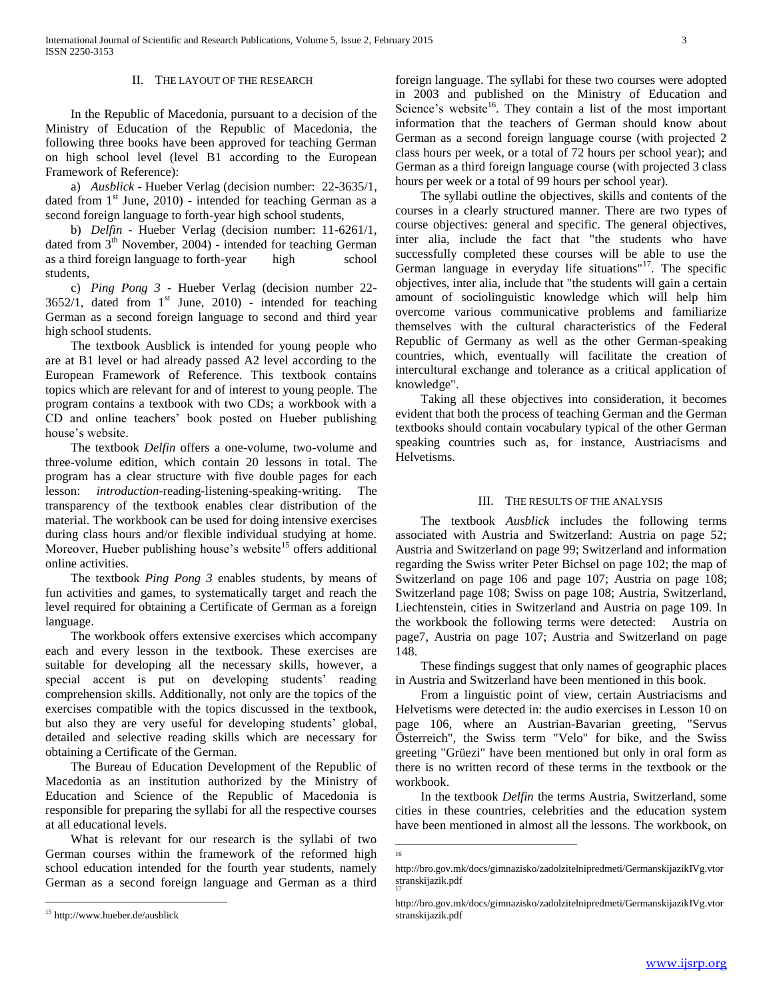#### II. THE LAYOUT OF THE RESEARCH

 In the Republic of Macedonia, pursuant to a decision of the Ministry of Education of the Republic of Macedonia, the following three books have been approved for teaching German on high school level (level B1 according to the European Framework of Reference):

 a) *Ausblick* - Hueber Verlag (decision number: 22-3635/1, dated from  $1<sup>st</sup>$  June, 2010) - intended for teaching German as a second foreign language to forth-year high school students,

 b) *Delfin* - Hueber Verlag (decision number: 11-6261/1, dated from 3<sup>th</sup> November, 2004) - intended for teaching German as a third foreign language to forth-year high school students,

 c) *Ping Pong 3* - Hueber Verlag (decision number 22-  $3652/1$ , dated from  $1<sup>st</sup>$  June, 2010) - intended for teaching German as a second foreign language to second and third year high school students.

 The textbook Ausblick is intended for young people who are at B1 level or had already passed A2 level according to the European Framework of Reference. This textbook contains topics which are relevant for and of interest to young people. The program contains a textbook with two CDs; a workbook with a CD and online teachers' book posted on Hueber publishing house's website.

 The textbook *Delfin* offers a one-volume, two-volume and three-volume edition, which contain 20 lessons in total. The program has a clear structure with five double pages for each lesson: *introduction*-reading-listening-speaking-writing. The transparency of the textbook enables clear distribution of the material. The workbook can be used for doing intensive exercises during class hours and/or flexible individual studying at home. Moreover, Hueber publishing house's website<sup>15</sup> offers additional online activities.

 The textbook *Ping Pong 3* enables students, by means of fun activities and games, to systematically target and reach the level required for obtaining a Certificate of German as a foreign language.

 The workbook offers extensive exercises which accompany each and every lesson in the textbook. These exercises are suitable for developing all the necessary skills, however, a special accent is put on developing students' reading comprehension skills. Additionally, not only are the topics of the exercises compatible with the topics discussed in the textbook, but also they are very useful for developing students' global, detailed and selective reading skills which are necessary for obtaining a Certificate of the German.

 The Bureau of Education Development of the Republic of Macedonia as an institution authorized by the Ministry of Education and Science of the Republic of Macedonia is responsible for preparing the syllabi for all the respective courses at all educational levels.

 What is relevant for our research is the syllabi of two German courses within the framework of the reformed high school education intended for the fourth year students, namely German as a second foreign language and German as a third

 $\overline{a}$ 

foreign language. The syllabi for these two courses were adopted in 2003 and published on the Ministry of Education and Science's website<sup>16</sup>. They contain a list of the most important information that the teachers of German should know about German as a second foreign language course (with projected 2 class hours per week, or a total of 72 hours per school year); and German as a third foreign language course (with projected 3 class hours per week or a total of 99 hours per school year).

 The syllabi outline the objectives, skills and contents of the courses in a clearly structured manner. There are two types of course objectives: general and specific. The general objectives, inter alia, include the fact that "the students who have successfully completed these courses will be able to use the German language in everyday life situations"<sup>17</sup>. The specific objectives, inter alia, include that "the students will gain a certain amount of sociolinguistic knowledge which will help him overcome various communicative problems and familiarize themselves with the cultural characteristics of the Federal Republic of Germany as well as the other German-speaking countries, which, eventually will facilitate the creation of intercultural exchange and tolerance as a critical application of knowledge".

 Taking all these objectives into consideration, it becomes evident that both the process of teaching German and the German textbooks should contain vocabulary typical of the other German speaking countries such as, for instance, Austriacisms and Helvetisms.

# III. THE RESULTS OF THE ANALYSIS

 The textbook *Ausblick* includes the following terms associated with Austria and Switzerland: Austria on page 52; Austria and Switzerland on page 99; Switzerland and information regarding the Swiss writer Peter Bichsel on page 102; the map of Switzerland on page 106 and page 107; Austria on page 108; Switzerland page 108; Swiss on page 108; Austria, Switzerland, Liechtenstein, cities in Switzerland and Austria on page 109. In the workbook the following terms were detected: Austria on page7, Austria on page 107; Austria and Switzerland on page 148.

 These findings suggest that only names of geographic places in Austria and Switzerland have been mentioned in this book.

 From a linguistic point of view, certain Austriacisms and Helvetisms were detected in: the audio exercises in Lesson 10 on page 106, where an Austrian-Bavarian greeting, "Servus Österreich", the Swiss term "Velo" for bike, and the Swiss greeting "Grüezi" have been mentioned but only in oral form as there is no written record of these terms in the textbook or the workbook.

 In the textbook *Delfin* the terms Austria, Switzerland, some cities in these countries, celebrities and the education system have been mentioned in almost all the lessons. The workbook, on

16

<sup>15</sup> http://www.hueber.de/ausblick

http://bro.gov.mk/docs/gimnazisko/zadolzitelnipredmeti/GermanskijazikIVg.vtor stranskijazik.pdf 17

http://bro.gov.mk/docs/gimnazisko/zadolzitelnipredmeti/GermanskijazikIVg.vtor stranskijazik.pdf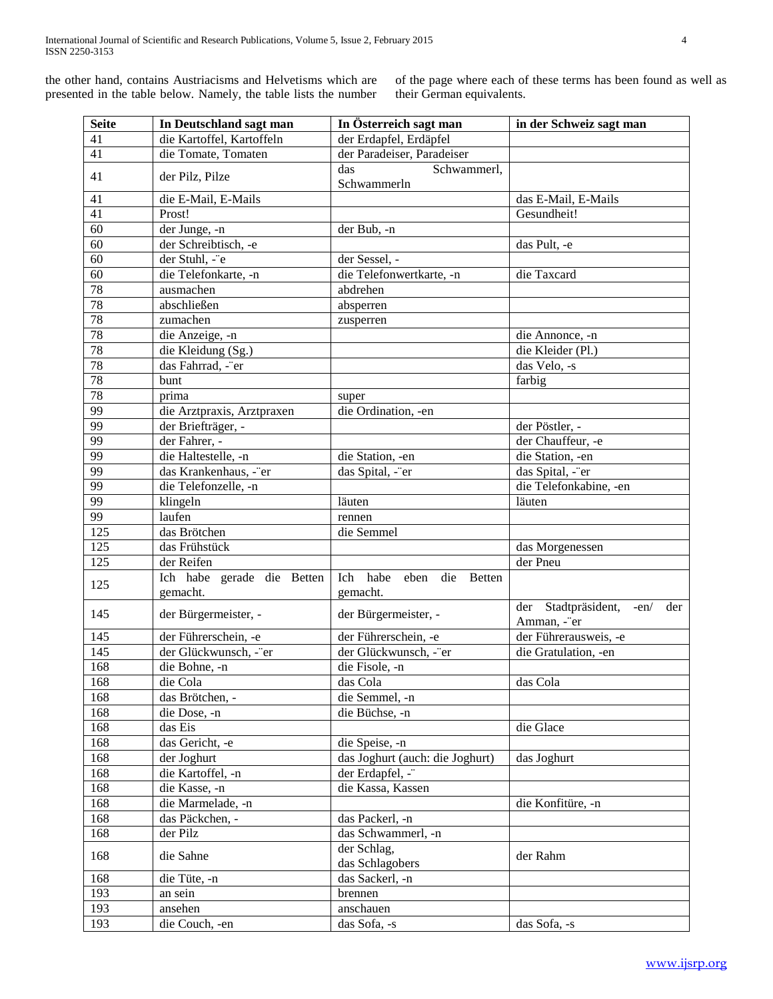the other hand, contains Austriacisms and Helvetisms which are presented in the table below. Namely, the table lists the number

of the page where each of these terms has been found as well as their German equivalents.

| <b>Seite</b>    | In Deutschland sagt man                | In Österreich sagt man                        | in der Schweiz sagt man                             |
|-----------------|----------------------------------------|-----------------------------------------------|-----------------------------------------------------|
| 41              | die Kartoffel, Kartoffeln              | der Erdapfel, Erdäpfel                        |                                                     |
| 41              | die Tomate, Tomaten                    | der Paradeiser, Paradeiser                    |                                                     |
| 41              | der Pilz, Pilze                        | Schwammerl,<br>das<br>Schwammerln             |                                                     |
| 41              | die E-Mail, E-Mails                    |                                               | das E-Mail, E-Mails                                 |
| 41              | Prost!                                 |                                               | Gesundheit!                                         |
| $\overline{60}$ | der Junge, -n                          | der Bub, -n                                   |                                                     |
| 60              | der Schreibtisch, -e                   |                                               | das Pult, -e                                        |
| 60              | der Stuhl, -"e                         | der Sessel, -                                 |                                                     |
| $\overline{60}$ | die Telefonkarte, -n                   | die Telefonwertkarte, -n                      | die Taxcard                                         |
| 78              | ausmachen                              | abdrehen                                      |                                                     |
| 78              | abschließen                            | absperren                                     |                                                     |
| 78              | zumachen                               | zusperren                                     |                                                     |
| 78              | die Anzeige, -n                        |                                               | die Annonce, -n                                     |
| 78              | die Kleidung (Sg.)                     |                                               | die Kleider (Pl.)                                   |
| 78              | das Fahrrad, -"er                      |                                               | das Velo, -s                                        |
| 78              | bunt                                   |                                               | farbig                                              |
| 78              | prima                                  | super                                         |                                                     |
| 99              | die Arztpraxis, Arztpraxen             | die Ordination, -en                           |                                                     |
| 99              | der Briefträger, -                     |                                               | der Pöstler, -                                      |
| 99              | der Fahrer, -                          |                                               | der Chauffeur, -e                                   |
| $\overline{99}$ | die Haltestelle, -n                    | die Station, -en                              | die Station, -en                                    |
| 99              | das Krankenhaus, -"er                  | das Spital, -"er                              | das Spital, -"er                                    |
| 99              | die Telefonzelle, -n                   |                                               | die Telefonkabine, -en                              |
| 99              | klingeln                               | läuten                                        | läuten                                              |
| $\overline{99}$ | laufen                                 | rennen                                        |                                                     |
| 125             | das Brötchen                           | die Semmel                                    |                                                     |
| 125             | das Frühstück                          |                                               | das Morgenessen                                     |
| 125             | der Reifen                             |                                               | der Pneu                                            |
| 125             | Ich habe gerade die Betten<br>gemacht. | Ich habe<br>eben<br>die<br>Betten<br>gemacht. |                                                     |
| 145             | der Bürgermeister, -                   | der Bürgermeister, -                          | der Stadtpräsident,<br>$-en/$<br>der<br>Amman, -"er |
| 145             | der Führerschein, -e                   | der Führerschein, -e                          | der Führerausweis, -e                               |
| 145             | der Glückwunsch, -"er                  | der Glückwunsch, -"er                         | die Gratulation, -en                                |
| 168             | die Bohne, -n                          | die Fisole, -n                                |                                                     |
| 168             | die Cola                               | das Cola                                      | das Cola                                            |
| 168             | das Brötchen, -                        | die Semmel, -n                                |                                                     |
| 168             | die Dose, -n                           | die Büchse, -n                                |                                                     |
| 168             | das Eis                                |                                               | die Glace                                           |
| 168             | das Gericht, -e                        | die Speise, -n                                |                                                     |
| 168             | der Joghurt                            | das Joghurt (auch: die Joghurt)               | das Joghurt                                         |
| 168             | die Kartoffel, -n                      | der Erdapfel, -"                              |                                                     |
| 168             | die Kasse, -n                          | die Kassa, Kassen                             |                                                     |
| 168             | die Marmelade, -n                      |                                               | die Konfitüre, -n                                   |
| 168             | das Päckchen, -                        | das Packerl, -n                               |                                                     |
| 168             | der Pilz                               | das Schwammerl, -n                            |                                                     |
| 168             | die Sahne                              | der Schlag,<br>das Schlagobers                | der Rahm                                            |
| 168             | die Tüte, -n                           | das Sackerl, -n                               |                                                     |
| 193             | an sein                                | brennen                                       |                                                     |
| 193             | ansehen                                | anschauen                                     |                                                     |
| 193             | die Couch, -en                         | das Sofa, -s                                  | das Sofa, -s                                        |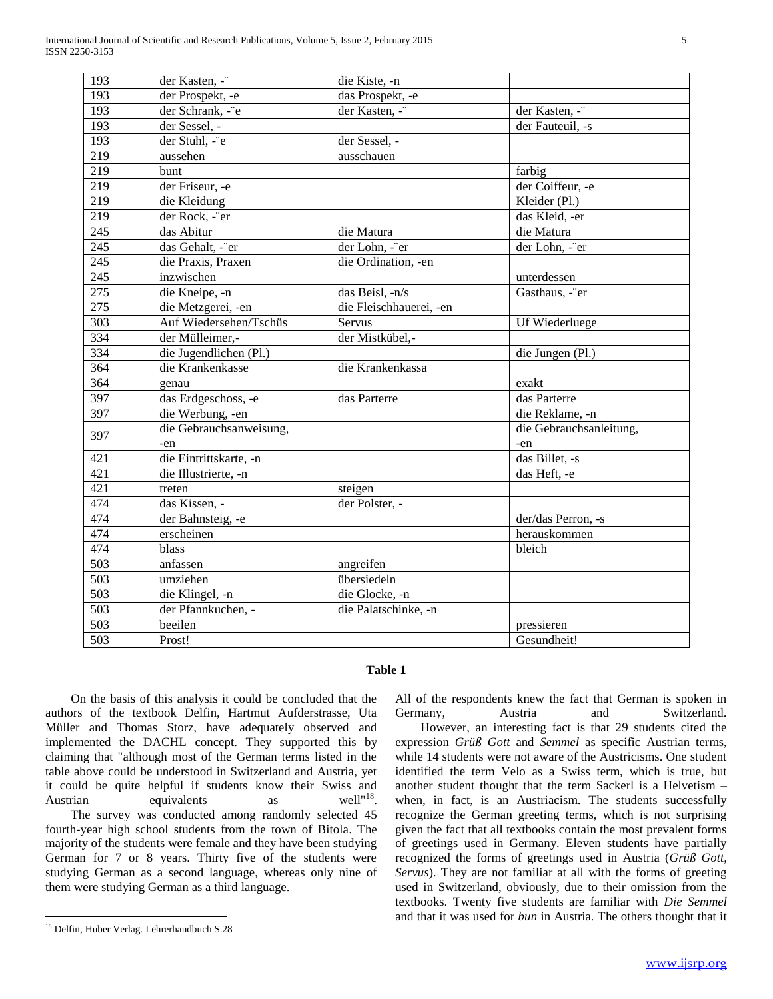| 193              | der Kasten, -"          | die Kiste, -n           |                         |
|------------------|-------------------------|-------------------------|-------------------------|
| 193              | der Prospekt, -e        | das Prospekt, -e        |                         |
| 193              | der Schrank, -"e        | der Kasten, -"          | der Kasten, -"          |
| 193              | der Sessel, -           |                         | der Fauteuil, -s        |
| 193              | der Stuhl, -"e          | der Sessel, -           |                         |
| $\overline{219}$ | aussehen                | ausschauen              |                         |
| 219              | bunt                    |                         | farbig                  |
| 219              | der Friseur, -e         |                         | der Coiffeur, -e        |
| 219              | die Kleidung            |                         | Kleider (Pl.)           |
| 219              | der Rock, -"er          |                         | das Kleid, -er          |
| 245              | das Abitur              | die Matura              | die Matura              |
| 245              | das Gehalt, -"er        | der Lohn, -"er          | der Lohn, -"er          |
| 245              | die Praxis, Praxen      | die Ordination, -en     |                         |
| 245              | inzwischen              |                         | unterdessen             |
| 275              | die Kneipe, -n          | das Beisl, -n/s         | Gasthaus, -"er          |
| 275              | die Metzgerei, -en      | die Fleischhauerei, -en |                         |
| 303              | Auf Wiedersehen/Tschüs  | Servus                  | Uf Wiederluege          |
| 334              | der Mülleimer,-         | der Mistkübel,-         |                         |
| 334              | die Jugendlichen (Pl.)  |                         | die Jungen (Pl.)        |
| 364              | die Krankenkasse        | die Krankenkassa        |                         |
| 364              | genau                   |                         | exakt                   |
| 397              | das Erdgeschoss, -e     | das Parterre            | das Parterre            |
| 397              | die Werbung, -en        |                         | die Reklame, -n         |
| 397              | die Gebrauchsanweisung, |                         | die Gebrauchsanleitung, |
|                  | -en                     |                         | -en                     |
| 421              | die Eintrittskarte, -n  |                         | das Billet, -s          |
| 421              | die Illustrierte, -n    |                         | das Heft, -e            |
| 421              | treten                  | steigen                 |                         |
| 474              | das Kissen, -           | der Polster, -          |                         |
| 474              | der Bahnsteig, -e       |                         | der/das Perron, -s      |
| 474              | erscheinen              |                         | herauskommen            |
| 474              | blass                   |                         | bleich                  |
| $\overline{503}$ | anfassen                | angreifen               |                         |
| 503              | umziehen                | übersiedeln             |                         |
| 503              | die Klingel, -n         | die Glocke, -n          |                         |
| 503              | der Pfannkuchen, -      | die Palatschinke, -n    |                         |
| 503              | beeilen                 |                         | pressieren              |
| 503              | Prost!                  |                         | Gesundheit!             |
|                  |                         |                         |                         |

# **Table 1**

 On the basis of this analysis it could be concluded that the authors of the textbook Delfin, Hartmut Aufderstrasse, Uta Müller and Thomas Storz, have adequately observed and implemented the DACHL concept. They supported this by claiming that "although most of the German terms listed in the table above could be understood in Switzerland and Austria, yet it could be quite helpful if students know their Swiss and Austrian equivalents as well"<sup>18</sup> The survey was conducted among randomly selected 45 fourth-year high school students from the town of Bitola. The majority of the students were female and they have been studying German for 7 or 8 years. Thirty five of the students were studying German as a second language, whereas only nine of them were studying German as a third language.

 $\overline{a}$ 

All of the respondents knew the fact that German is spoken in Germany. Austria and Switzerland. However, an interesting fact is that 29 students cited the expression *Grüß Gott* and *Semmel* as specific Austrian terms, while 14 students were not aware of the Austricisms. One student identified the term Velo as a Swiss term, which is true, but another student thought that the term Sackerl is a Helvetism – when, in fact, is an Austriacism. The students successfully recognize the German greeting terms, which is not surprising given the fact that all textbooks contain the most prevalent forms of greetings used in Germany. Eleven students have partially recognized the forms of greetings used in Austria (*Grüß Gott, Servus*). They are not familiar at all with the forms of greeting used in Switzerland, obviously, due to their omission from the textbooks. Twenty five students are familiar with *Die Semmel* and that it was used for *bun* in Austria. The others thought that it

<sup>18</sup> Delfin, Huber Verlag. Lehrerhandbuch S.28